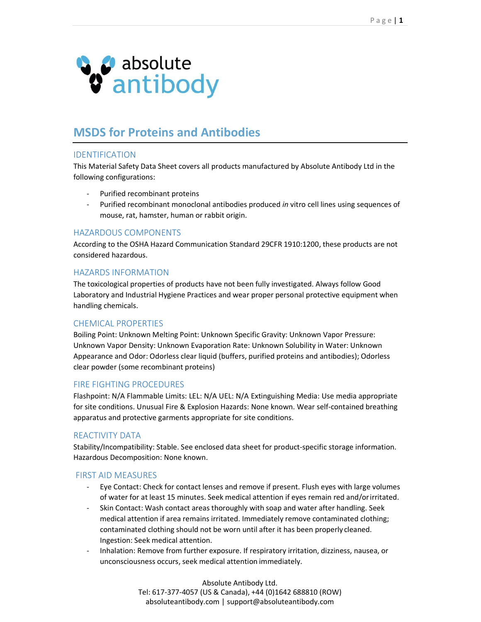

# MSDS for Proteins and Antibodies

# IDENTIFICATION

This Material Safety Data Sheet covers all products manufactured by Absolute Antibody Ltd in the following configurations:

- Purified recombinant proteins
- Purified recombinant monoclonal antibodies produced in vitro cell lines using sequences of mouse, rat, hamster, human or rabbit origin.

## HAZARDOUS COMPONENTS

According to the OSHA Hazard Communication Standard 29CFR 1910:1200, these products are not considered hazardous.

### HAZARDS INFORMATION

The toxicological properties of products have not been fully investigated. Always follow Good Laboratory and Industrial Hygiene Practices and wear proper personal protective equipment when handling chemicals.

### CHEMICAL PROPERTIES

Boiling Point: Unknown Melting Point: Unknown Specific Gravity: Unknown Vapor Pressure: Unknown Vapor Density: Unknown Evaporation Rate: Unknown Solubility in Water: Unknown Appearance and Odor: Odorless clear liquid (buffers, purified proteins and antibodies); Odorless clear powder (some recombinant proteins)

### FIRE FIGHTING PROCEDURES

Flashpoint: N/A Flammable Limits: LEL: N/A UEL: N/A Extinguishing Media: Use media appropriate for site conditions. Unusual Fire & Explosion Hazards: None known. Wear self-contained breathing apparatus and protective garments appropriate for site conditions.

### REACTIVITY DATA

Stability/Incompatibility: Stable. See enclosed data sheet for product-specific storage information. Hazardous Decomposition: None known.

### FIRST AID MEASURES

- Eye Contact: Check for contact lenses and remove if present. Flush eyes with large volumes of water for at least 15 minutes. Seek medical attention if eyes remain red and/or irritated.
- Skin Contact: Wash contact areas thoroughly with soap and water after handling. Seek medical attention if area remains irritated. Immediately remove contaminated clothing; contaminated clothing should not be worn until after it has been properly cleaned. Ingestion: Seek medical attention.
- Inhalation: Remove from further exposure. If respiratory irritation, dizziness, nausea, or unconsciousness occurs, seek medical attention immediately.

Absolute Antibody Ltd. Tel: 617-377-4057 (US & Canada), +44 (0)1642 688810 (ROW) absoluteantibody.com | support@absoluteantibody.com